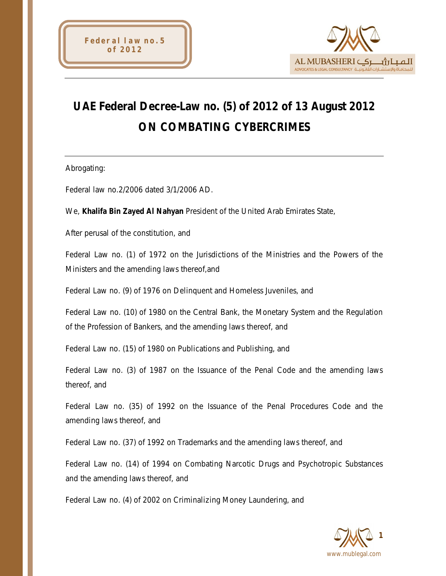



# **UAE Federal Decree-Law no. (5) of 2012 of 13 August 2012 ON COMBATING CYBERCRIMES**

Abrogating:

Federal law no.2/2006 dated 3/1/2006 AD.

We, **Khalifa Bin Zayed Al Nahyan** President of the United Arab Emirates State,

After perusal of the constitution, and

Federal Law no. (1) of 1972 on the Jurisdictions of the Ministries and the Powers of the Ministers and the amending laws thereof,and

Federal Law no. (9) of 1976 on Delinquent and Homeless Juveniles, and

Federal Law no. (10) of 1980 on the Central Bank, the Monetary System and the Regulation of the Profession of Bankers, and the amending laws thereof, and

Federal Law no. (15) of 1980 on Publications and Publishing, and

Federal Law no. (3) of 1987 on the Issuance of the Penal Code and the amending laws thereof, and

Federal Law no. (35) of 1992 on the Issuance of the Penal Procedures Code and the amending laws thereof, and

Federal Law no. (37) of 1992 on Trademarks and the amending laws thereof, and

Federal Law no. (14) of 1994 on Combating Narcotic Drugs and Psychotropic Substances and the amending laws thereof, and

Federal Law no. (4) of 2002 on Criminalizing Money Laundering, and

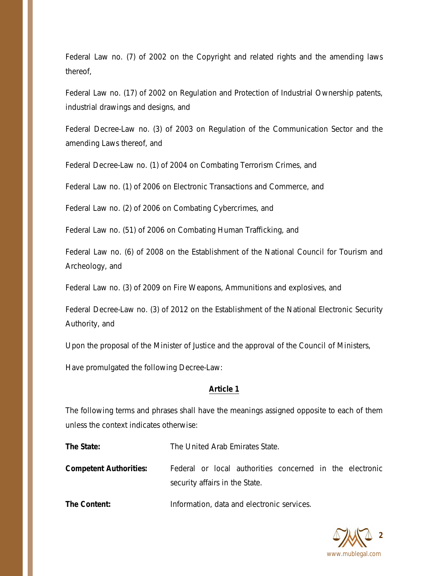Federal Law no. (7) of 2002 on the Copyright and related rights and the amending laws thereof,

Federal Law no. (17) of 2002 on Regulation and Protection of Industrial Ownership patents, industrial drawings and designs, and

Federal Decree-Law no. (3) of 2003 on Regulation of the Communication Sector and the amending Laws thereof, and

Federal Decree-Law no. (1) of 2004 on Combating Terrorism Crimes, and

Federal Law no. (1) of 2006 on Electronic Transactions and Commerce, and

Federal Law no. (2) of 2006 on Combating Cybercrimes, and

Federal Law no. (51) of 2006 on Combating Human Trafficking, and

Federal Law no. (6) of 2008 on the Establishment of the National Council for Tourism and Archeology, and

Federal Law no. (3) of 2009 on Fire Weapons, Ammunitions and explosives, and

Federal Decree-Law no. (3) of 2012 on the Establishment of the National Electronic Security Authority, and

Upon the proposal of the Minister of Justice and the approval of the Council of Ministers,

Have promulgated the following Decree-Law:

# **Article 1**

The following terms and phrases shall have the meanings assigned opposite to each of them unless the context indicates otherwise:

**The State:** The United Arab Emirates State.

**Competent Authorities:** Federal or local authorities concerned in the electronic security affairs in the State.

**The Content:** Information, data and electronic services.

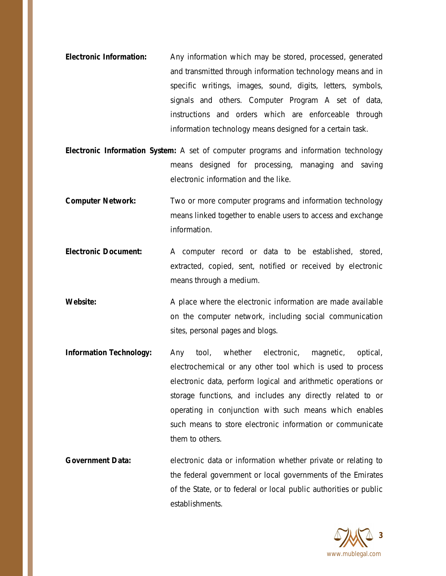- **Electronic Information:** Any information which may be stored, processed, generated and transmitted through information technology means and in specific writings, images, sound, digits, letters, symbols, signals and others. Computer Program A set of data, instructions and orders which are enforceable through information technology means designed for a certain task.
- **Electronic Information System:** A set of computer programs and information technology means designed for processing, managing and saving electronic information and the like.
- **Computer Network:** Two or more computer programs and information technology means linked together to enable users to access and exchange information.
- **Electronic Document:** A computer record or data to be established, stored, extracted, copied, sent, notified or received by electronic means through a medium.
- **Website:** A place where the electronic information are made available on the computer network, including social communication sites, personal pages and blogs.
- **Information Technology:** Any tool, whether electronic, magnetic, optical, electrochemical or any other tool which is used to process electronic data, perform logical and arithmetic operations or storage functions, and includes any directly related to or operating in conjunction with such means which enables such means to store electronic information or communicate them to others.
- **Government Data:** electronic data or information whether private or relating to the federal government or local governments of the Emirates of the State, or to federal or local public authorities or public establishments.

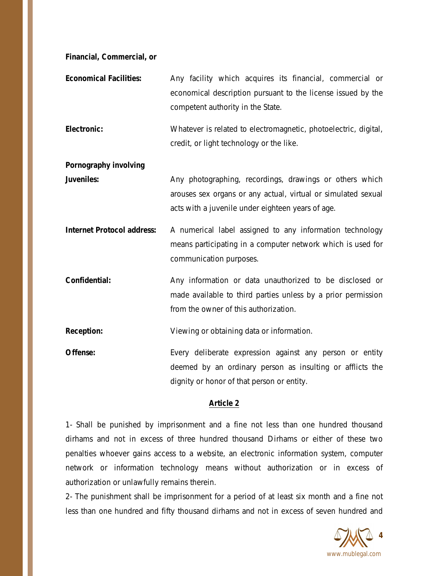**Financial, Commercial, or**

**Economical Facilities:** Any facility which acquires its financial, commercial or economical description pursuant to the license issued by the competent authority in the State.

**Electronic:** Whatever is related to electromagnetic, photoelectric, digital, credit, or light technology or the like.

**Pornography involving**

**Juveniles:** Any photographing, recordings, drawings or others which arouses sex organs or any actual, virtual or simulated sexual acts with a juvenile under eighteen years of age.

**Internet Protocol address:** A numerical label assigned to any information technology means participating in a computer network which is used for communication purposes.

**Confidential:** Any information or data unauthorized to be disclosed or made available to third parties unless by a prior permission from the owner of this authorization.

**Reception:** Viewing or obtaining data or information.

**Offense:** Every deliberate expression against any person or entity deemed by an ordinary person as insulting or afflicts the dignity or honor of that person or entity.

#### **Article 2**

1- Shall be punished by imprisonment and a fine not less than one hundred thousand dirhams and not in excess of three hundred thousand Dirhams or either of these two penalties whoever gains access to a website, an electronic information system, computer network or information technology means without authorization or in excess of authorization or unlawfully remains therein.

2- The punishment shall be imprisonment for a period of at least six month and a fine not less than one hundred and fifty thousand dirhams and not in excess of seven hundred and

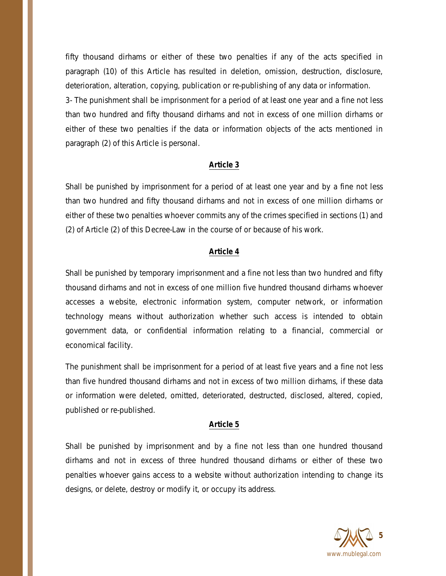fifty thousand dirhams or either of these two penalties if any of the acts specified in paragraph (10) of this Article has resulted in deletion, omission, destruction, disclosure, deterioration, alteration, copying, publication or re-publishing of any data or information.

3- The punishment shall be imprisonment for a period of at least one year and a fine not less than two hundred and fifty thousand dirhams and not in excess of one million dirhams or either of these two penalties if the data or information objects of the acts mentioned in paragraph (2) of this Article is personal.

# **Article 3**

Shall be punished by imprisonment for a period of at least one year and by a fine not less than two hundred and fifty thousand dirhams and not in excess of one million dirhams or either of these two penalties whoever commits any of the crimes specified in sections (1) and (2) of Article (2) of this Decree-Law in the course of or because of his work.

# **Article 4**

Shall be punished by temporary imprisonment and a fine not less than two hundred and fifty thousand dirhams and not in excess of one million five hundred thousand dirhams whoever accesses a website, electronic information system, computer network, or information technology means without authorization whether such access is intended to obtain government data, or confidential information relating to a financial, commercial or economical facility.

The punishment shall be imprisonment for a period of at least five years and a fine not less than five hundred thousand dirhams and not in excess of two million dirhams, if these data or information were deleted, omitted, deteriorated, destructed, disclosed, altered, copied, published or re-published.

## **Article 5**

Shall be punished by imprisonment and by a fine not less than one hundred thousand dirhams and not in excess of three hundred thousand dirhams or either of these two penalties whoever gains access to a website without authorization intending to change its designs, or delete, destroy or modify it, or occupy its address.

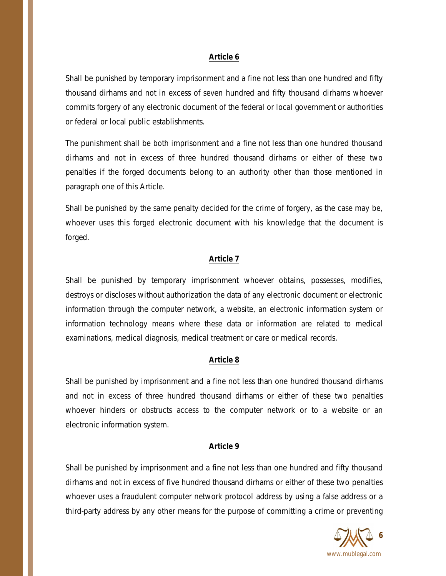#### **Article 6**

Shall be punished by temporary imprisonment and a fine not less than one hundred and fifty thousand dirhams and not in excess of seven hundred and fifty thousand dirhams whoever commits forgery of any electronic document of the federal or local government or authorities or federal or local public establishments.

The punishment shall be both imprisonment and a fine not less than one hundred thousand dirhams and not in excess of three hundred thousand dirhams or either of these two penalties if the forged documents belong to an authority other than those mentioned in paragraph one of this Article.

Shall be punished by the same penalty decided for the crime of forgery, as the case may be, whoever uses this forged electronic document with his knowledge that the document is forged.

#### **Article 7**

Shall be punished by temporary imprisonment whoever obtains, possesses, modifies, destroys or discloses without authorization the data of any electronic document or electronic information through the computer network, a website, an electronic information system or information technology means where these data or information are related to medical examinations, medical diagnosis, medical treatment or care or medical records.

## **Article 8**

Shall be punished by imprisonment and a fine not less than one hundred thousand dirhams and not in excess of three hundred thousand dirhams or either of these two penalties whoever hinders or obstructs access to the computer network or to a website or an electronic information system.

#### **Article 9**

Shall be punished by imprisonment and a fine not less than one hundred and fifty thousand dirhams and not in excess of five hundred thousand dirhams or either of these two penalties whoever uses a fraudulent computer network protocol address by using a false address or a third-party address by any other means for the purpose of committing a crime or preventing

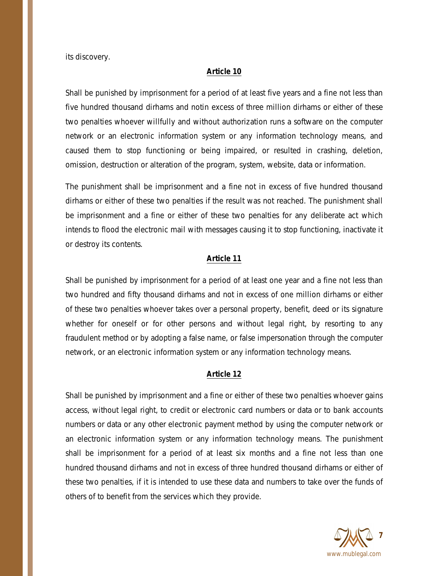its discovery.

#### **Article 10**

Shall be punished by imprisonment for a period of at least five years and a fine not less than five hundred thousand dirhams and notin excess of three million dirhams or either of these two penalties whoever willfully and without authorization runs a software on the computer network or an electronic information system or any information technology means, and caused them to stop functioning or being impaired, or resulted in crashing, deletion, omission, destruction or alteration of the program, system, website, data or information.

The punishment shall be imprisonment and a fine not in excess of five hundred thousand dirhams or either of these two penalties if the result was not reached. The punishment shall be imprisonment and a fine or either of these two penalties for any deliberate act which intends to flood the electronic mail with messages causing it to stop functioning, inactivate it or destroy its contents.

#### **Article 11**

Shall be punished by imprisonment for a period of at least one year and a fine not less than two hundred and fifty thousand dirhams and not in excess of one million dirhams or either of these two penalties whoever takes over a personal property, benefit, deed or its signature whether for oneself or for other persons and without legal right, by resorting to any fraudulent method or by adopting a false name, or false impersonation through the computer network, or an electronic information system or any information technology means.

## **Article 12**

Shall be punished by imprisonment and a fine or either of these two penalties whoever gains access, without legal right, to credit or electronic card numbers or data or to bank accounts numbers or data or any other electronic payment method by using the computer network or an electronic information system or any information technology means. The punishment shall be imprisonment for a period of at least six months and a fine not less than one hundred thousand dirhams and not in excess of three hundred thousand dirhams or either of these two penalties, if it is intended to use these data and numbers to take over the funds of others of to benefit from the services which they provide.

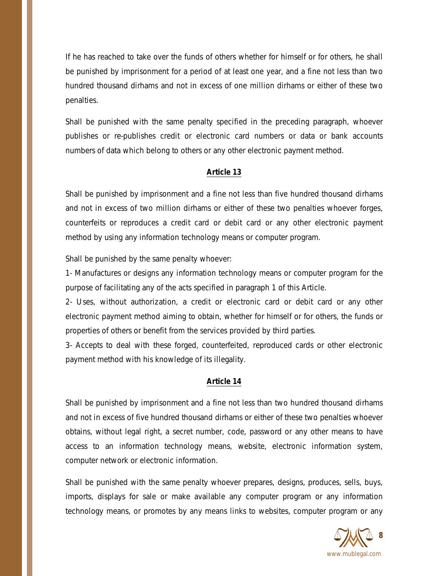If he has reached to take over the funds of others whether for himself or for others, he shall be punished by imprisonment for a period of at least one year, and a fine not less than two hundred thousand dirhams and not in excess of one million dirhams or either of these two penalties.

Shall be punished with the same penalty specified in the preceding paragraph, whoever publishes or re-publishes credit or electronic card numbers or data or bank accounts numbers of data which belong to others or any other electronic payment method.

# **Article 13**

Shall be punished by imprisonment and a fine not less than five hundred thousand dirhams and not in excess of two million dirhams or either of these two penalties whoever forges, counterfeits or reproduces a credit card or debit card or any other electronic payment method by using any information technology means or computer program.

Shall be punished by the same penalty whoever:

1- Manufactures or designs any information technology means or computer program for the purpose of facilitating any of the acts specified in paragraph 1 of this Article.

2- Uses, without authorization, a credit or electronic card or debit card or any other electronic payment method aiming to obtain, whether for himself or for others, the funds or properties of others or benefit from the services provided by third parties.

3- Accepts to deal with these forged, counterfeited, reproduced cards or other electronic payment method with his knowledge of its illegality.

## **Article 14**

Shall be punished by imprisonment and a fine not less than two hundred thousand dirhams and not in excess of five hundred thousand dirhams or either of these two penalties whoever obtains, without legal right, a secret number, code, password or any other means to have access to an information technology means, website, electronic information system, computer network or electronic information.

Shall be punished with the same penalty whoever prepares, designs, produces, sells, buys, imports, displays for sale or make available any computer program or any information technology means, or promotes by any means links to websites, computer program or any

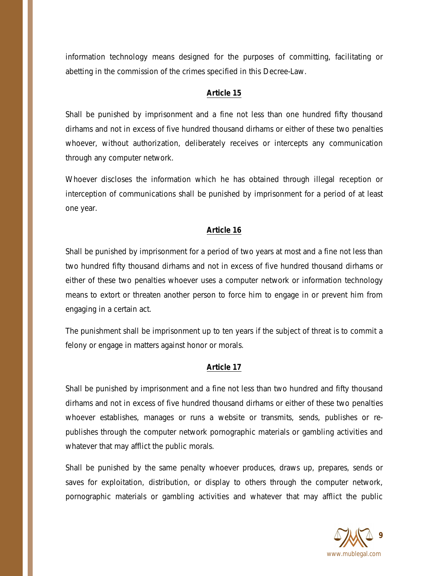information technology means designed for the purposes of committing, facilitating or abetting in the commission of the crimes specified in this Decree-Law.

# **Article 15**

Shall be punished by imprisonment and a fine not less than one hundred fifty thousand dirhams and not in excess of five hundred thousand dirhams or either of these two penalties whoever, without authorization, deliberately receives or intercepts any communication through any computer network.

Whoever discloses the information which he has obtained through illegal reception or interception of communications shall be punished by imprisonment for a period of at least one year.

# **Article 16**

Shall be punished by imprisonment for a period of two years at most and a fine not less than two hundred fifty thousand dirhams and not in excess of five hundred thousand dirhams or either of these two penalties whoever uses a computer network or information technology means to extort or threaten another person to force him to engage in or prevent him from engaging in a certain act.

The punishment shall be imprisonment up to ten years if the subject of threat is to commit a felony or engage in matters against honor or morals.

## **Article 17**

Shall be punished by imprisonment and a fine not less than two hundred and fifty thousand dirhams and not in excess of five hundred thousand dirhams or either of these two penalties whoever establishes, manages or runs a website or transmits, sends, publishes or republishes through the computer network pornographic materials or gambling activities and whatever that may afflict the public morals.

Shall be punished by the same penalty whoever produces, draws up, prepares, sends or saves for exploitation, distribution, or display to others through the computer network, pornographic materials or gambling activities and whatever that may afflict the public

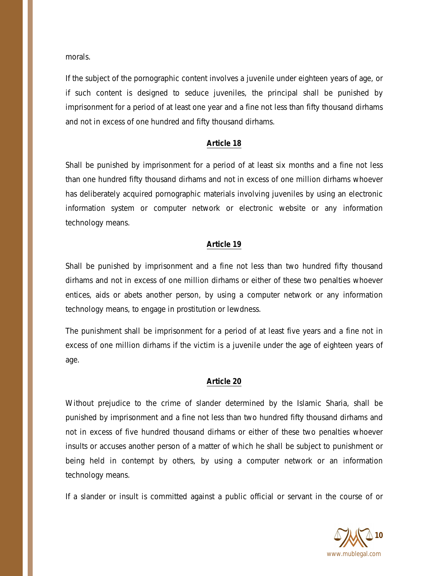morals.

If the subject of the pornographic content involves a juvenile under eighteen years of age, or if such content is designed to seduce juveniles, the principal shall be punished by imprisonment for a period of at least one year and a fine not less than fifty thousand dirhams and not in excess of one hundred and fifty thousand dirhams.

### **Article 18**

Shall be punished by imprisonment for a period of at least six months and a fine not less than one hundred fifty thousand dirhams and not in excess of one million dirhams whoever has deliberately acquired pornographic materials involving juveniles by using an electronic information system or computer network or electronic website or any information technology means.

### **Article 19**

Shall be punished by imprisonment and a fine not less than two hundred fifty thousand dirhams and not in excess of one million dirhams or either of these two penalties whoever entices, aids or abets another person, by using a computer network or any information technology means, to engage in prostitution or lewdness.

The punishment shall be imprisonment for a period of at least five years and a fine not in excess of one million dirhams if the victim is a juvenile under the age of eighteen years of age.

#### **Article 20**

Without prejudice to the crime of slander determined by the Islamic Sharia, shall be punished by imprisonment and a fine not less than two hundred fifty thousand dirhams and not in excess of five hundred thousand dirhams or either of these two penalties whoever insults or accuses another person of a matter of which he shall be subject to punishment or being held in contempt by others, by using a computer network or an information technology means.

If a slander or insult is committed against a public official or servant in the course of or

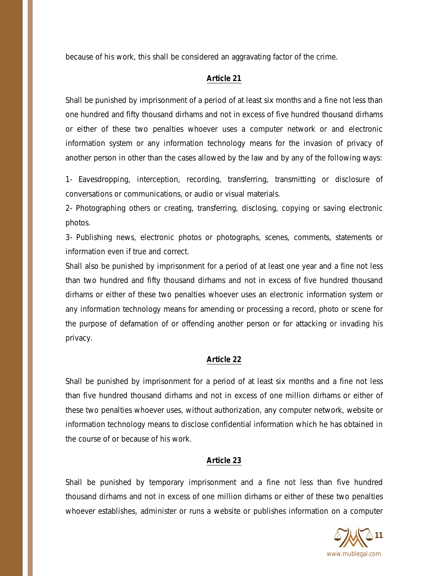because of his work, this shall be considered an aggravating factor of the crime.

## **Article 21**

Shall be punished by imprisonment of a period of at least six months and a fine not less than one hundred and fifty thousand dirhams and not in excess of five hundred thousand dirhams or either of these two penalties whoever uses a computer network or and electronic information system or any information technology means for the invasion of privacy of another person in other than the cases allowed by the law and by any of the following ways:

1- Eavesdropping, interception, recording, transferring, transmitting or disclosure of conversations or communications, or audio or visual materials.

2- Photographing others or creating, transferring, disclosing, copying or saving electronic photos.

3- Publishing news, electronic photos or photographs, scenes, comments, statements or information even if true and correct.

Shall also be punished by imprisonment for a period of at least one year and a fine not less than two hundred and fifty thousand dirhams and not in excess of five hundred thousand dirhams or either of these two penalties whoever uses an electronic information system or any information technology means for amending or processing a record, photo or scene for the purpose of defamation of or offending another person or for attacking or invading his privacy.

## **Article 22**

Shall be punished by imprisonment for a period of at least six months and a fine not less than five hundred thousand dirhams and not in excess of one million dirhams or either of these two penalties whoever uses, without authorization, any computer network, website or information technology means to disclose confidential information which he has obtained in the course of or because of his work.

## **Article 23**

Shall be punished by temporary imprisonment and a fine not less than five hundred thousand dirhams and not in excess of one million dirhams or either of these two penalties whoever establishes, administer or runs a website or publishes information on a computer

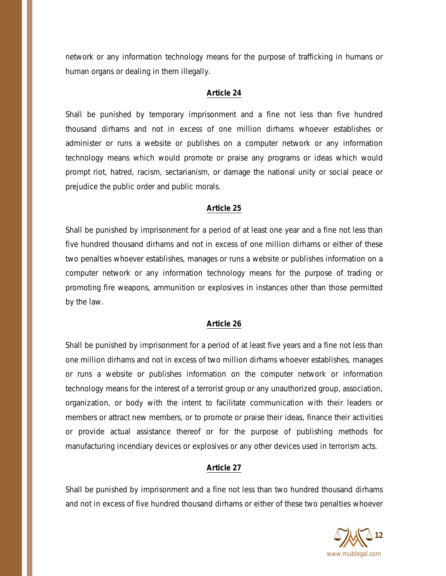network or any information technology means for the purpose of trafficking in humans or human organs or dealing in them illegally.

#### **Article 24**

Shall be punished by temporary imprisonment and a fine not less than five hundred thousand dirhams and not in excess of one million dirhams whoever establishes or administer or runs a website or publishes on a computer network or any information technology means which would promote or praise any programs or ideas which would prompt riot, hatred, racism, sectarianism, or damage the national unity or social peace or prejudice the public order and public morals.

#### **Article 25**

Shall be punished by imprisonment for a period of at least one year and a fine not less than five hundred thousand dirhams and not in excess of one million dirhams or either of these two penalties whoever establishes, manages or runs a website or publishes information on a computer network or any information technology means for the purpose of trading or promoting fire weapons, ammunition or explosives in instances other than those permitted by the law.

#### **Article 26**

Shall be punished by imprisonment for a period of at least five years and a fine not less than one million dirhams and not in excess of two million dirhams whoever establishes, manages or runs a website or publishes information on the computer network or information technology means for the interest of a terrorist group or any unauthorized group, association, organization, or body with the intent to facilitate communication with their leaders or members or attract new members, or to promote or praise their ideas, finance their activities or provide actual assistance thereof or for the purpose of publishing methods for manufacturing incendiary devices or explosives or any other devices used in terrorism acts.

## **Article 27**

Shall be punished by imprisonment and a fine not less than two hundred thousand dirhams and not in excess of five hundred thousand dirhams or either of these two penalties whoever

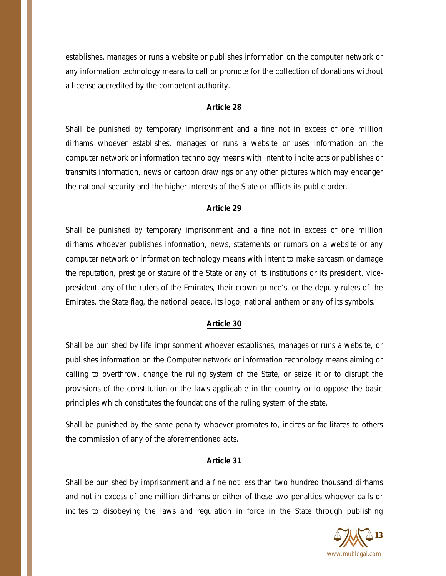establishes, manages or runs a website or publishes information on the computer network or any information technology means to call or promote for the collection of donations without a license accredited by the competent authority.

## **Article 28**

Shall be punished by temporary imprisonment and a fine not in excess of one million dirhams whoever establishes, manages or runs a website or uses information on the computer network or information technology means with intent to incite acts or publishes or transmits information, news or cartoon drawings or any other pictures which may endanger the national security and the higher interests of the State or afflicts its public order.

# **Article 29**

Shall be punished by temporary imprisonment and a fine not in excess of one million dirhams whoever publishes information, news, statements or rumors on a website or any computer network or information technology means with intent to make sarcasm or damage the reputation, prestige or stature of the State or any of its institutions or its president, vicepresident, any of the rulers of the Emirates, their crown prince's, or the deputy rulers of the Emirates, the State flag, the national peace, its logo, national anthem or any of its symbols.

# **Article 30**

Shall be punished by life imprisonment whoever establishes, manages or runs a website, or publishes information on the Computer network or information technology means aiming or calling to overthrow, change the ruling system of the State, or seize it or to disrupt the provisions of the constitution or the laws applicable in the country or to oppose the basic principles which constitutes the foundations of the ruling system of the state.

Shall be punished by the same penalty whoever promotes to, incites or facilitates to others the commission of any of the aforementioned acts.

## **Article 31**

Shall be punished by imprisonment and a fine not less than two hundred thousand dirhams and not in excess of one million dirhams or either of these two penalties whoever calls or incites to disobeying the laws and regulation in force in the State through publishing

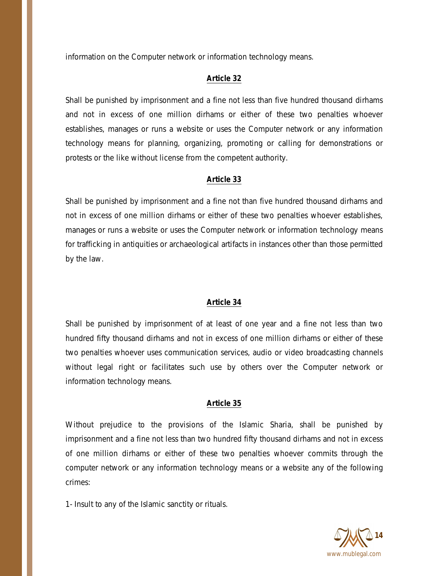information on the Computer network or information technology means.

## **Article 32**

Shall be punished by imprisonment and a fine not less than five hundred thousand dirhams and not in excess of one million dirhams or either of these two penalties whoever establishes, manages or runs a website or uses the Computer network or any information technology means for planning, organizing, promoting or calling for demonstrations or protests or the like without license from the competent authority.

### **Article 33**

Shall be punished by imprisonment and a fine not than five hundred thousand dirhams and not in excess of one million dirhams or either of these two penalties whoever establishes, manages or runs a website or uses the Computer network or information technology means for trafficking in antiquities or archaeological artifacts in instances other than those permitted by the law.

#### **Article 34**

Shall be punished by imprisonment of at least of one year and a fine not less than two hundred fifty thousand dirhams and not in excess of one million dirhams or either of these two penalties whoever uses communication services, audio or video broadcasting channels without legal right or facilitates such use by others over the Computer network or information technology means.

#### **Article 35**

Without prejudice to the provisions of the Islamic Sharia, shall be punished by imprisonment and a fine not less than two hundred fifty thousand dirhams and not in excess of one million dirhams or either of these two penalties whoever commits through the computer network or any information technology means or a website any of the following crimes:

1- Insult to any of the Islamic sanctity or rituals.

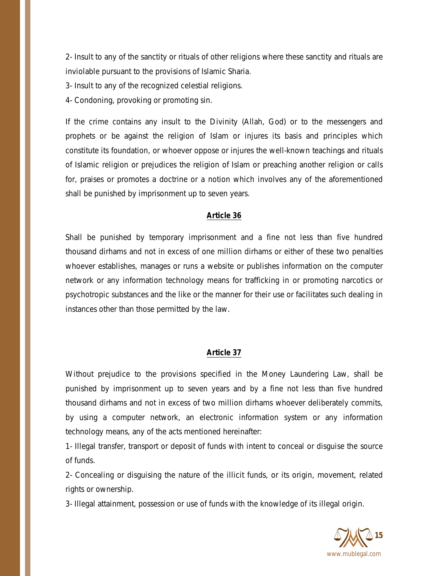2- Insult to any of the sanctity or rituals of other religions where these sanctity and rituals are inviolable pursuant to the provisions of Islamic Sharia.

3- Insult to any of the recognized celestial religions.

4- Condoning, provoking or promoting sin.

If the crime contains any insult to the Divinity (Allah, God) or to the messengers and prophets or be against the religion of Islam or injures its basis and principles which constitute its foundation, or whoever oppose or injures the well-known teachings and rituals of Islamic religion or prejudices the religion of Islam or preaching another religion or calls for, praises or promotes a doctrine or a notion which involves any of the aforementioned shall be punished by imprisonment up to seven years.

## **Article 36**

Shall be punished by temporary imprisonment and a fine not less than five hundred thousand dirhams and not in excess of one million dirhams or either of these two penalties whoever establishes, manages or runs a website or publishes information on the computer network or any information technology means for trafficking in or promoting narcotics or psychotropic substances and the like or the manner for their use or facilitates such dealing in instances other than those permitted by the law.

## **Article 37**

Without prejudice to the provisions specified in the Money Laundering Law, shall be punished by imprisonment up to seven years and by a fine not less than five hundred thousand dirhams and not in excess of two million dirhams whoever deliberately commits, by using a computer network, an electronic information system or any information technology means, any of the acts mentioned hereinafter:

1- Illegal transfer, transport or deposit of funds with intent to conceal or disguise the source of funds.

2- Concealing or disguising the nature of the illicit funds, or its origin, movement, related rights or ownership.

3- Illegal attainment, possession or use of funds with the knowledge of its illegal origin.

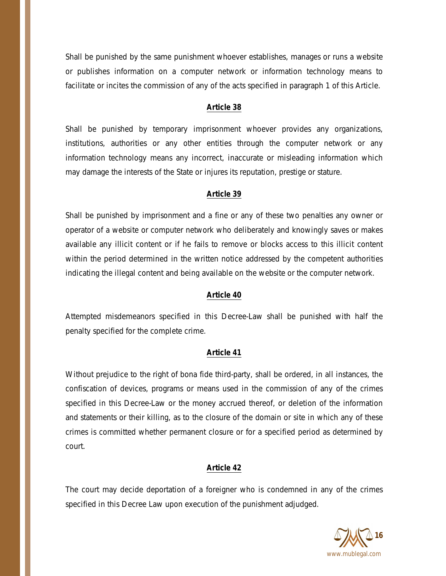Shall be punished by the same punishment whoever establishes, manages or runs a website or publishes information on a computer network or information technology means to facilitate or incites the commission of any of the acts specified in paragraph 1 of this Article.

# **Article 38**

Shall be punished by temporary imprisonment whoever provides any organizations, institutions, authorities or any other entities through the computer network or any information technology means any incorrect, inaccurate or misleading information which may damage the interests of the State or injures its reputation, prestige or stature.

# **Article 39**

Shall be punished by imprisonment and a fine or any of these two penalties any owner or operator of a website or computer network who deliberately and knowingly saves or makes available any illicit content or if he fails to remove or blocks access to this illicit content within the period determined in the written notice addressed by the competent authorities indicating the illegal content and being available on the website or the computer network.

# **Article 40**

Attempted misdemeanors specified in this Decree-Law shall be punished with half the penalty specified for the complete crime.

## **Article 41**

Without prejudice to the right of bona fide third-party, shall be ordered, in all instances, the confiscation of devices, programs or means used in the commission of any of the crimes specified in this Decree-Law or the money accrued thereof, or deletion of the information and statements or their killing, as to the closure of the domain or site in which any of these crimes is committed whether permanent closure or for a specified period as determined by court.

# **Article 42**

The court may decide deportation of a foreigner who is condemned in any of the crimes specified in this Decree Law upon execution of the punishment adjudged.

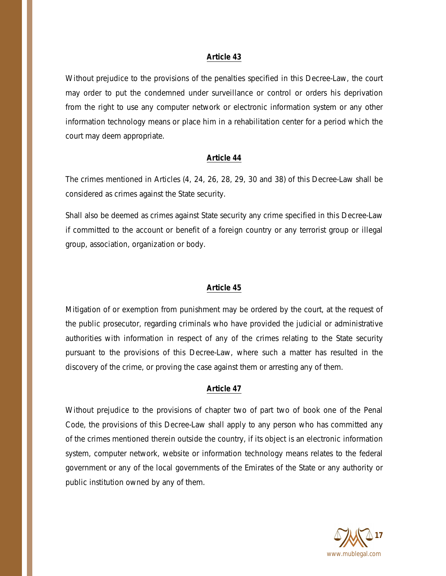#### **Article 43**

Without prejudice to the provisions of the penalties specified in this Decree-Law, the court may order to put the condemned under surveillance or control or orders his deprivation from the right to use any computer network or electronic information system or any other information technology means or place him in a rehabilitation center for a period which the court may deem appropriate.

#### **Article 44**

The crimes mentioned in Articles (4, 24, 26, 28, 29, 30 and 38) of this Decree-Law shall be considered as crimes against the State security.

Shall also be deemed as crimes against State security any crime specified in this Decree-Law if committed to the account or benefit of a foreign country or any terrorist group or illegal group, association, organization or body.

#### **Article 45**

Mitigation of or exemption from punishment may be ordered by the court, at the request of the public prosecutor, regarding criminals who have provided the judicial or administrative authorities with information in respect of any of the crimes relating to the State security pursuant to the provisions of this Decree-Law, where such a matter has resulted in the discovery of the crime, or proving the case against them or arresting any of them.

#### **Article 47**

Without prejudice to the provisions of chapter two of part two of book one of the Penal Code, the provisions of this Decree-Law shall apply to any person who has committed any of the crimes mentioned therein outside the country, if its object is an electronic information system, computer network, website or information technology means relates to the federal government or any of the local governments of the Emirates of the State or any authority or public institution owned by any of them.